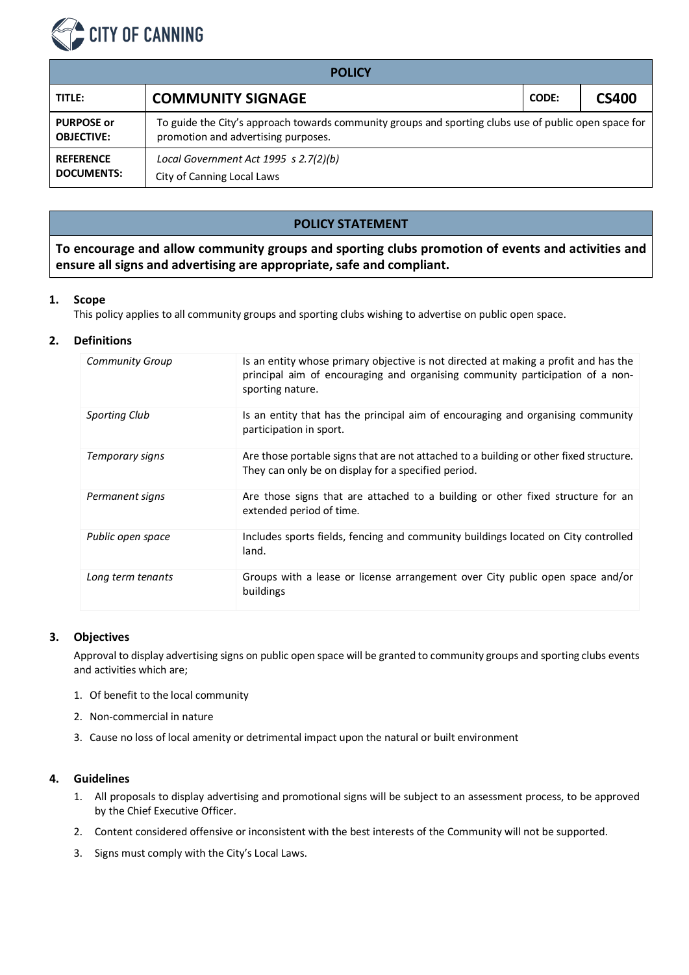

| <b>POLICY</b>                          |                                                                                                                                              |       |              |  |  |  |  |
|----------------------------------------|----------------------------------------------------------------------------------------------------------------------------------------------|-------|--------------|--|--|--|--|
| TITLE:                                 | <b>COMMUNITY SIGNAGE</b>                                                                                                                     | CODE: | <b>CS400</b> |  |  |  |  |
| <b>PURPOSE or</b><br><b>OBJECTIVE:</b> | To guide the City's approach towards community groups and sporting clubs use of public open space for<br>promotion and advertising purposes. |       |              |  |  |  |  |
| <b>REFERENCE</b><br><b>DOCUMENTS:</b>  | Local Government Act 1995 s 2.7(2)(b)<br>City of Canning Local Laws                                                                          |       |              |  |  |  |  |

# **POLICY STATEMENT**

**To encourage and allow community groups and sporting clubs promotion of events and activities and ensure all signs and advertising are appropriate, safe and compliant.**

## **1. Scope**

This policy applies to all community groups and sporting clubs wishing to advertise on public open space.

## **2. Definitions**

| <b>Community Group</b> | Is an entity whose primary objective is not directed at making a profit and has the<br>principal aim of encouraging and organising community participation of a non-<br>sporting nature. |
|------------------------|------------------------------------------------------------------------------------------------------------------------------------------------------------------------------------------|
| <b>Sporting Club</b>   | Is an entity that has the principal aim of encouraging and organising community<br>participation in sport.                                                                               |
| Temporary signs        | Are those portable signs that are not attached to a building or other fixed structure.<br>They can only be on display for a specified period.                                            |
| Permanent signs        | Are those signs that are attached to a building or other fixed structure for an<br>extended period of time.                                                                              |
| Public open space      | Includes sports fields, fencing and community buildings located on City controlled<br>land.                                                                                              |
| Long term tenants      | Groups with a lease or license arrangement over City public open space and/or<br>buildings                                                                                               |

#### **3. Objectives**

Approval to display advertising signs on public open space will be granted to community groups and sporting clubs events and activities which are;

- 1. Of benefit to the local community
- 2. Non-commercial in nature
- 3. Cause no loss of local amenity or detrimental impact upon the natural or built environment

### **4. Guidelines**

- 1. All proposals to display advertising and promotional signs will be subject to an assessment process, to be approved by the Chief Executive Officer.
- 2. Content considered offensive or inconsistent with the best interests of the Community will not be supported.
- 3. Signs must comply with the City's Local Laws.